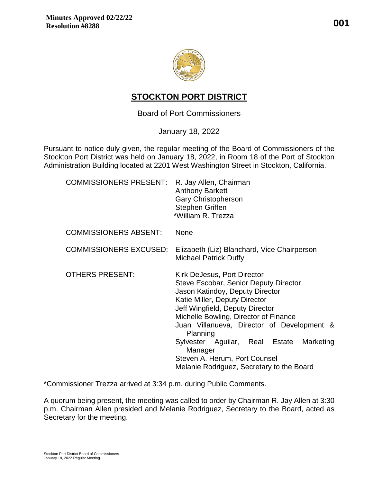

# **STOCKTON PORT DISTRICT**

Board of Port Commissioners

January 18, 2022

Pursuant to notice duly given, the regular meeting of the Board of Commissioners of the Stockton Port District was held on January 18, 2022, in Room 18 of the Port of Stockton Administration Building located at 2201 West Washington Street in Stockton, California.

| <b>COMMISSIONERS PRESENT:</b> | R. Jay Allen, Chairman<br><b>Anthony Barkett</b><br><b>Gary Christopherson</b><br>Stephen Griffen<br>*William R. Trezza                                                                                                                                                                                                                                                                                                |
|-------------------------------|------------------------------------------------------------------------------------------------------------------------------------------------------------------------------------------------------------------------------------------------------------------------------------------------------------------------------------------------------------------------------------------------------------------------|
| <b>COMMISSIONERS ABSENT:</b>  | <b>None</b>                                                                                                                                                                                                                                                                                                                                                                                                            |
| <b>COMMISSIONERS EXCUSED:</b> | Elizabeth (Liz) Blanchard, Vice Chairperson<br><b>Michael Patrick Duffy</b>                                                                                                                                                                                                                                                                                                                                            |
| <b>OTHERS PRESENT:</b>        | Kirk DeJesus, Port Director<br>Steve Escobar, Senior Deputy Director<br>Jason Katindoy, Deputy Director<br>Katie Miller, Deputy Director<br>Jeff Wingfield, Deputy Director<br>Michelle Bowling, Director of Finance<br>Juan Villanueva, Director of Development &<br>Planning<br>Marketing<br>Sylvester Aguilar, Real Estate<br>Manager<br>Steven A. Herum, Port Counsel<br>Melanie Rodriguez, Secretary to the Board |

\*Commissioner Trezza arrived at 3:34 p.m. during Public Comments.

A quorum being present, the meeting was called to order by Chairman R. Jay Allen at 3:30 p.m. Chairman Allen presided and Melanie Rodriguez, Secretary to the Board, acted as Secretary for the meeting.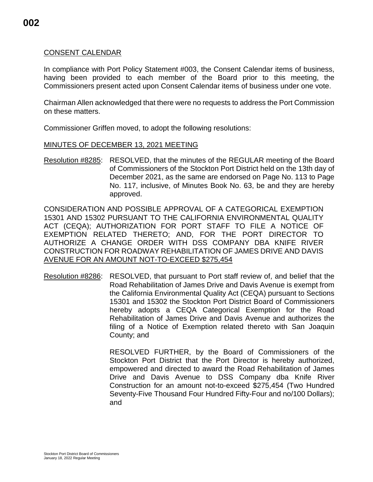## CONSENT CALENDAR

In compliance with Port Policy Statement #003, the Consent Calendar items of business, having been provided to each member of the Board prior to this meeting, the Commissioners present acted upon Consent Calendar items of business under one vote.

Chairman Allen acknowledged that there were no requests to address the Port Commission on these matters.

Commissioner Griffen moved, to adopt the following resolutions:

#### MINUTES OF DECEMBER 13, 2021 MEETING

Resolution #8285: RESOLVED, that the minutes of the REGULAR meeting of the Board of Commissioners of the Stockton Port District held on the 13th day of December 2021, as the same are endorsed on Page No. 113 to Page No. 117, inclusive, of Minutes Book No. 63, be and they are hereby approved.

CONSIDERATION AND POSSIBLE APPROVAL OF A CATEGORICAL EXEMPTION 15301 AND 15302 PURSUANT TO THE CALIFORNIA ENVIRONMENTAL QUALITY ACT (CEQA); AUTHORIZATION FOR PORT STAFF TO FILE A NOTICE OF EXEMPTION RELATED THERETO; AND, FOR THE PORT DIRECTOR TO AUTHORIZE A CHANGE ORDER WITH DSS COMPANY DBA KNIFE RIVER CONSTRUCTION FOR ROADWAY REHABILITATION OF JAMES DRIVE AND DAVIS AVENUE FOR AN AMOUNT NOT-TO-EXCEED \$275,454

Resolution #8286: RESOLVED, that pursuant to Port staff review of, and belief that the Road Rehabilitation of James Drive and Davis Avenue is exempt from the California Environmental Quality Act (CEQA) pursuant to Sections 15301 and 15302 the Stockton Port District Board of Commissioners hereby adopts a CEQA Categorical Exemption for the Road Rehabilitation of James Drive and Davis Avenue and authorizes the filing of a Notice of Exemption related thereto with San Joaquin County; and

> RESOLVED FURTHER, by the Board of Commissioners of the Stockton Port District that the Port Director is hereby authorized, empowered and directed to award the Road Rehabilitation of James Drive and Davis Avenue to DSS Company dba Knife River Construction for an amount not-to-exceed \$275,454 (Two Hundred Seventy-Five Thousand Four Hundred Fifty-Four and no/100 Dollars); and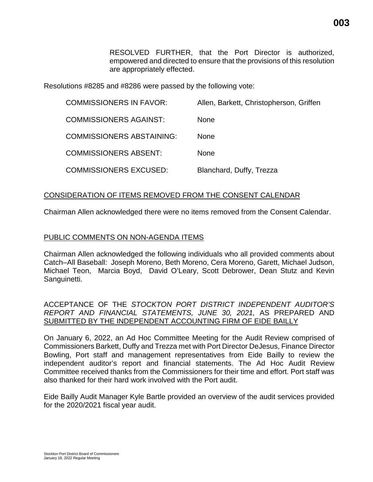RESOLVED FURTHER, that the Port Director is authorized, empowered and directed to ensure that the provisions of this resolution are appropriately effected.

Resolutions #8285 and #8286 were passed by the following vote:

| <b>COMMISSIONERS IN FAVOR:</b>   | Allen, Barkett, Christopherson, Griffen |
|----------------------------------|-----------------------------------------|
| <b>COMMISSIONERS AGAINST:</b>    | <b>None</b>                             |
| <b>COMMISSIONERS ABSTAINING:</b> | <b>None</b>                             |
| <b>COMMISSIONERS ABSENT:</b>     | <b>None</b>                             |
| <b>COMMISSIONERS EXCUSED:</b>    | Blanchard, Duffy, Trezza                |

# CONSIDERATION OF ITEMS REMOVED FROM THE CONSENT CALENDAR

Chairman Allen acknowledged there were no items removed from the Consent Calendar.

#### PUBLIC COMMENTS ON NON-AGENDA ITEMS

Chairman Allen acknowledged the following individuals who all provided comments about Catch–All Baseball: Joseph Moreno, Beth Moreno, Cera Moreno, Garett, Michael Judson, Michael Teon, Marcia Boyd, David O'Leary, Scott Debrower, Dean Stutz and Kevin Sanguinetti.

ACCEPTANCE OF THE *STOCKTON PORT DISTRICT INDEPENDENT AUDITOR'S REPORT AND FINANCIAL STATEMENTS, JUNE 30, 2021,* AS PREPARED AND SUBMITTED BY THE INDEPENDENT ACCOUNTING FIRM OF EIDE BAILLY

On January 6, 2022, an Ad Hoc Committee Meeting for the Audit Review comprised of Commissioners Barkett, Duffy and Trezza met with Port Director DeJesus, Finance Director Bowling, Port staff and management representatives from Eide Bailly to review the independent auditor's report and financial statements. The Ad Hoc Audit Review Committee received thanks from the Commissioners for their time and effort. Port staff was also thanked for their hard work involved with the Port audit.

Eide Bailly Audit Manager Kyle Bartle provided an overview of the audit services provided for the 2020/2021 fiscal year audit.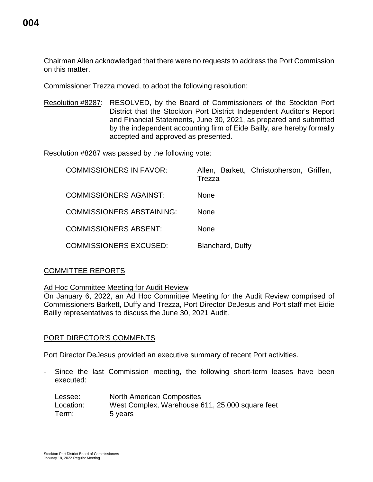Chairman Allen acknowledged that there were no requests to address the Port Commission on this matter.

Commissioner Trezza moved, to adopt the following resolution:

Resolution #8287: RESOLVED, by the Board of Commissioners of the Stockton Port District that the Stockton Port District Independent Auditor's Report and Financial Statements, June 30, 2021, as prepared and submitted by the independent accounting firm of Eide Bailly, are hereby formally accepted and approved as presented.

Resolution #8287 was passed by the following vote:

| <b>COMMISSIONERS IN FAVOR:</b>   | Allen, Barkett, Christopherson, Griffen,<br>Trezza |
|----------------------------------|----------------------------------------------------|
| <b>COMMISSIONERS AGAINST:</b>    | <b>None</b>                                        |
| <b>COMMISSIONERS ABSTAINING:</b> | None                                               |
| <b>COMMISSIONERS ABSENT:</b>     | None                                               |
| <b>COMMISSIONERS EXCUSED:</b>    | Blanchard, Duffy                                   |

## COMMITTEE REPORTS

Ad Hoc Committee Meeting for Audit Review

On January 6, 2022, an Ad Hoc Committee Meeting for the Audit Review comprised of Commissioners Barkett, Duffy and Trezza, Port Director DeJesus and Port staff met Eidie Bailly representatives to discuss the June 30, 2021 Audit.

## PORT DIRECTOR'S COMMENTS

Port Director DeJesus provided an executive summary of recent Port activities.

Since the last Commission meeting, the following short-term leases have been executed:

| Lessee:   | <b>North American Composites</b>                |
|-----------|-------------------------------------------------|
| Location: | West Complex, Warehouse 611, 25,000 square feet |
| Term:     | 5 years                                         |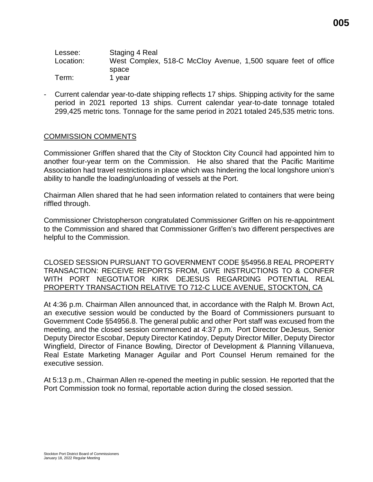| Lessee:   | Staging 4 Real                                                 |
|-----------|----------------------------------------------------------------|
| Location: | West Complex, 518-C McCloy Avenue, 1,500 square feet of office |
|           | space                                                          |
| Term:     | 1 vear                                                         |

- Current calendar year-to-date shipping reflects 17 ships. Shipping activity for the same period in 2021 reported 13 ships. Current calendar year-to-date tonnage totaled 299,425 metric tons. Tonnage for the same period in 2021 totaled 245,535 metric tons.

## COMMISSION COMMENTS

Commissioner Griffen shared that the City of Stockton City Council had appointed him to another four-year term on the Commission. He also shared that the Pacific Maritime Association had travel restrictions in place which was hindering the local longshore union's ability to handle the loading/unloading of vessels at the Port.

Chairman Allen shared that he had seen information related to containers that were being riffled through.

Commissioner Christopherson congratulated Commissioner Griffen on his re-appointment to the Commission and shared that Commissioner Griffen's two different perspectives are helpful to the Commission.

CLOSED SESSION PURSUANT TO GOVERNMENT CODE §54956.8 REAL PROPERTY TRANSACTION: RECEIVE REPORTS FROM, GIVE INSTRUCTIONS TO & CONFER WITH PORT NEGOTIATOR KIRK DEJESUS REGARDING POTENTIAL REAL PROPERTY TRANSACTION RELATIVE TO 712-C LUCE AVENUE, STOCKTON, CA

At 4:36 p.m. Chairman Allen announced that, in accordance with the Ralph M. Brown Act, an executive session would be conducted by the Board of Commissioners pursuant to Government Code §54956.8. The general public and other Port staff was excused from the meeting, and the closed session commenced at 4:37 p.m. Port Director DeJesus, Senior Deputy Director Escobar, Deputy Director Katindoy, Deputy Director Miller, Deputy Director Wingfield, Director of Finance Bowling, Director of Development & Planning Villanueva, Real Estate Marketing Manager Aguilar and Port Counsel Herum remained for the executive session.

At 5:13 p.m., Chairman Allen re-opened the meeting in public session. He reported that the Port Commission took no formal, reportable action during the closed session.